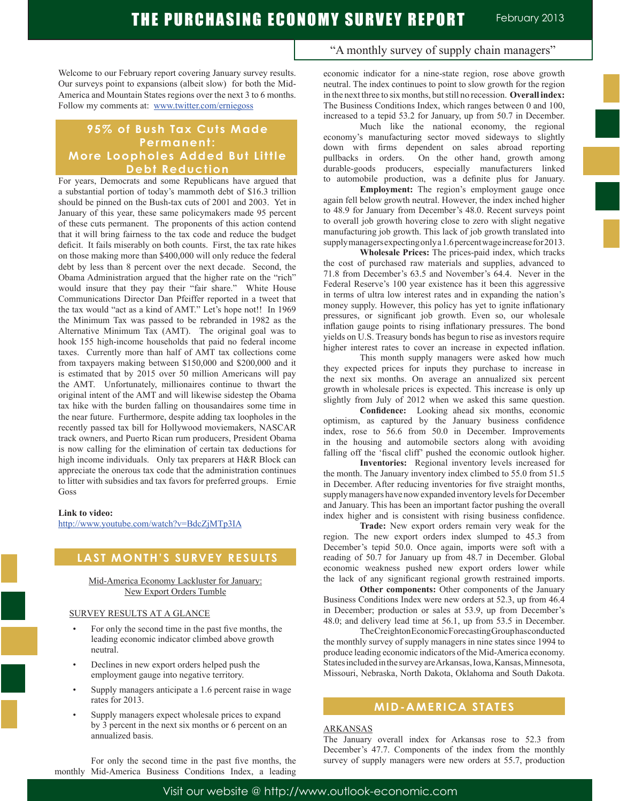Welcome to our February report covering January survey results. Our surveys point to expansions (albeit slow) for both the Mid-America and Mountain States regions over the next 3 to 6 months. Follow my comments at: www.twitter.com/erniegoss

## **95% of Bush Tax Cuts Made Permanent: More Loopholes Added But Little Debt Reduction**

For years, Democrats and some Republicans have argued that a substantial portion of today's mammoth debt of \$16.3 trillion should be pinned on the Bush-tax cuts of 2001 and 2003. Yet in January of this year, these same policymakers made 95 percent of these cuts permanent. The proponents of this action contend that it will bring fairness to the tax code and reduce the budget deficit. It fails miserably on both counts. First, the tax rate hikes on those making more than \$400,000 will only reduce the federal debt by less than 8 percent over the next decade. Second, the Obama Administration argued that the higher rate on the "rich" would insure that they pay their "fair share." White House Communications Director Dan Pfeiffer reported in a tweet that the tax would "act as a kind of AMT." Let's hope not!! In 1969 the Minimum Tax was passed to be rebranded in 1982 as the Alternative Minimum Tax (AMT). The original goal was to hook 155 high-income households that paid no federal income taxes. Currently more than half of AMT tax collections come from taxpayers making between \$150,000 and \$200,000 and it is estimated that by 2015 over 50 million Americans will pay the AMT. Unfortunately, millionaires continue to thwart the original intent of the AMT and will likewise sidestep the Obama tax hike with the burden falling on thousandaires some time in the near future. Furthermore, despite adding tax loopholes in the recently passed tax bill for Hollywood moviemakers, NASCAR track owners, and Puerto Rican rum producers, President Obama is now calling for the elimination of certain tax deductions for high income individuals. Only tax preparers at H&R Block can appreciate the onerous tax code that the administration continues to litter with subsidies and tax favors for preferred groups. Ernie Goss

#### **Link to video:**

http://www.youtube.com/watch?v=BdcZjMTp3IA

## **LAST MONTH'S SURVEY RESULTS**

#### Mid-America Economy Lackluster for January: New Export Orders Tumble

#### SURVEY RESULTS AT A GLANCE

- For only the second time in the past five months, the leading economic indicator climbed above growth neutral.
- Declines in new export orders helped push the employment gauge into negative territory.
- Supply managers anticipate a 1.6 percent raise in wage rates for 2013.
- Supply managers expect wholesale prices to expand by 3 percent in the next six months or 6 percent on an annualized basis.

 For only the second time in the past five months, the monthly Mid-America Business Conditions Index, a leading "A monthly survey of supply chain managers"

economic indicator for a nine-state region, rose above growth neutral. The index continues to point to slow growth for the region in the next three to six months, but still no recession. **Overall index:** The Business Conditions Index, which ranges between 0 and 100, increased to a tepid 53.2 for January, up from 50.7 in December.

 Much like the national economy, the regional economy's manufacturing sector moved sideways to slightly down with firms dependent on sales abroad reporting pullbacks in orders. On the other hand, growth among durable-goods producers, especially manufacturers linked to automobile production, was a definite plus for January.

**Employment:** The region's employment gauge once again fell below growth neutral. However, the index inched higher to 48.9 for January from December's 48.0. Recent surveys point to overall job growth hovering close to zero with slight negative manufacturing job growth. This lack of job growth translated into supply managers expecting only a 1.6 percent wage increase for 2013.

**Wholesale Prices:** The prices-paid index, which tracks the cost of purchased raw materials and supplies, advanced to 71.8 from December's 63.5 and November's 64.4. Never in the Federal Reserve's 100 year existence has it been this aggressive in terms of ultra low interest rates and in expanding the nation's money supply. However, this policy has yet to ignite inflationary pressures, or significant job growth. Even so, our wholesale inflation gauge points to rising inflationary pressures. The bond yields on U.S. Treasury bonds has begun to rise as investors require higher interest rates to cover an increase in expected inflation.

 This month supply managers were asked how much they expected prices for inputs they purchase to increase in the next six months. On average an annualized six percent growth in wholesale prices is expected. This increase is only up slightly from July of 2012 when we asked this same question.

**Confidence:** Looking ahead six months, economic optimism, as captured by the January business confidence index, rose to 56.6 from 50.0 in December. Improvements in the housing and automobile sectors along with avoiding falling off the 'fiscal cliff' pushed the economic outlook higher.

**Inventories:** Regional inventory levels increased for the month. The January inventory index climbed to 55.0 from 51.5 in December. After reducing inventories for five straight months, supply managers have now expanded inventory levels for December and January. This has been an important factor pushing the overall index higher and is consistent with rising business confidence.

**Trade:** New export orders remain very weak for the region. The new export orders index slumped to 45.3 from December's tepid 50.0. Once again, imports were soft with a reading of 50.7 for January up from 48.7 in December. Global economic weakness pushed new export orders lower while the lack of any significant regional growth restrained imports.

**Other components:** Other components of the January Business Conditions Index were new orders at 52.3, up from 46.4 in December; production or sales at 53.9, up from December's 48.0; and delivery lead time at 56.1, up from 53.5 in December.

 The Creighton Economic Forecasting Group has conducted the monthly survey of supply managers in nine states since 1994 to produce leading economic indicators of the Mid-America economy. States included in the survey are Arkansas, Iowa, Kansas, Minnesota, Missouri, Nebraska, North Dakota, Oklahoma and South Dakota.

## **MID-AMERICA STATES**

#### ARKANSAS

The January overall index for Arkansas rose to 52.3 from December's 47.7. Components of the index from the monthly survey of supply managers were new orders at 55.7, production

Visit our website @ http://www.outlook-economic.com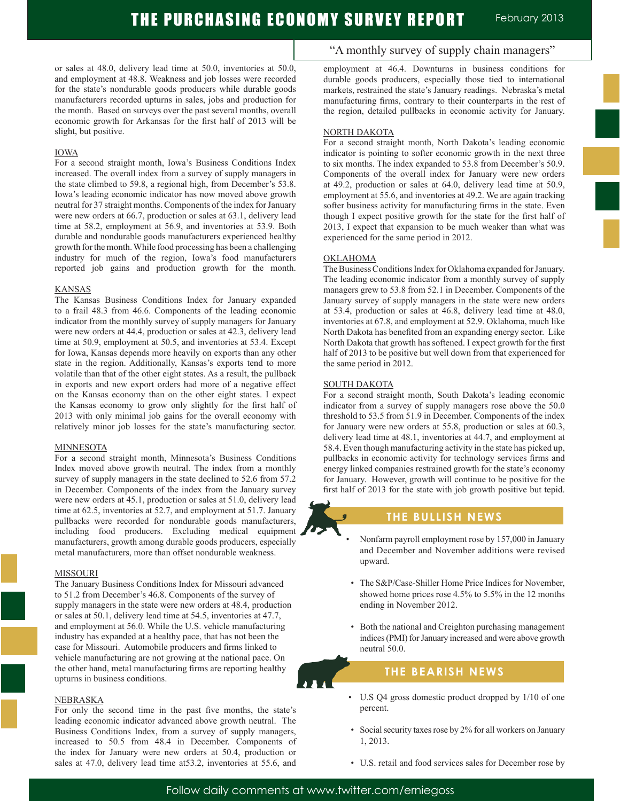or sales at 48.0, delivery lead time at 50.0, inventories at 50.0, and employment at 48.8. Weakness and job losses were recorded for the state's nondurable goods producers while durable goods manufacturers recorded upturns in sales, jobs and production for the month. Based on surveys over the past several months, overall economic growth for Arkansas for the first half of 2013 will be slight, but positive.

#### IOWA

For a second straight month, Iowa's Business Conditions Index increased. The overall index from a survey of supply managers in the state climbed to 59.8, a regional high, from December's 53.8. Iowa's leading economic indicator has now moved above growth neutral for 37 straight months. Components of the index for January were new orders at 66.7, production or sales at 63.1, delivery lead time at 58.2, employment at 56.9, and inventories at 53.9. Both durable and nondurable goods manufacturers experienced healthy growth for the month. While food processing has been a challenging industry for much of the region, Iowa's food manufacturers reported job gains and production growth for the month.

#### KANSAS

The Kansas Business Conditions Index for January expanded to a frail 48.3 from 46.6. Components of the leading economic indicator from the monthly survey of supply managers for January were new orders at 44.4, production or sales at 42.3, delivery lead time at 50.9, employment at 50.5, and inventories at 53.4. Except for Iowa, Kansas depends more heavily on exports than any other state in the region. Additionally, Kansas's exports tend to more volatile than that of the other eight states. As a result, the pullback in exports and new export orders had more of a negative effect on the Kansas economy than on the other eight states. I expect the Kansas economy to grow only slightly for the first half of 2013 with only minimal job gains for the overall economy with relatively minor job losses for the state's manufacturing sector.

#### MINNESOTA

For a second straight month, Minnesota's Business Conditions Index moved above growth neutral. The index from a monthly survey of supply managers in the state declined to 52.6 from 57.2 in December. Components of the index from the January survey were new orders at 45.1, production or sales at 51.0, delivery lead time at 62.5, inventories at 52.7, and employment at 51.7. January pullbacks were recorded for nondurable goods manufacturers, including food producers. Excluding medical equipment manufacturers, growth among durable goods producers, especially metal manufacturers, more than offset nondurable weakness.

#### MISSOURI

The January Business Conditions Index for Missouri advanced to 51.2 from December's 46.8. Components of the survey of supply managers in the state were new orders at 48.4, production or sales at 50.1, delivery lead time at 54.5, inventories at 47.7, and employment at 56.0. While the U.S. vehicle manufacturing industry has expanded at a healthy pace, that has not been the case for Missouri. Automobile producers and firms linked to vehicle manufacturing are not growing at the national pace. On the other hand, metal manufacturing firms are reporting healthy upturns in business conditions.

#### NEBRASKA

For only the second time in the past five months, the state's leading economic indicator advanced above growth neutral. The Business Conditions Index, from a survey of supply managers, increased to 50.5 from 48.4 in December. Components of the index for January were new orders at 50.4, production or sales at 47.0, delivery lead time at53.2, inventories at 55.6, and

### "A monthly survey of supply chain managers"

employment at 46.4. Downturns in business conditions for durable goods producers, especially those tied to international markets, restrained the state's January readings. Nebraska's metal manufacturing firms, contrary to their counterparts in the rest of the region, detailed pullbacks in economic activity for January.

#### NORTH DAKOTA

For a second straight month, North Dakota's leading economic indicator is pointing to softer economic growth in the next three to six months. The index expanded to 53.8 from December's 50.9. Components of the overall index for January were new orders at 49.2, production or sales at 64.0, delivery lead time at 50.9, employment at 55.6, and inventories at 49.2. We are again tracking softer business activity for manufacturing firms in the state. Even though I expect positive growth for the state for the first half of 2013, I expect that expansion to be much weaker than what was experienced for the same period in 2012.

#### OKLAHOMA

The Business Conditions Index for Oklahoma expanded for January. The leading economic indicator from a monthly survey of supply managers grew to 53.8 from 52.1 in December. Components of the January survey of supply managers in the state were new orders at 53.4, production or sales at 46.8, delivery lead time at 48.0, inventories at 67.8, and employment at 52.9. Oklahoma, much like North Dakota has benefited from an expanding energy sector. Like North Dakota that growth has softened. I expect growth for the first half of 2013 to be positive but well down from that experienced for the same period in 2012.

#### SOUTH DAKOTA

For a second straight month, South Dakota's leading economic indicator from a survey of supply managers rose above the 50.0 threshold to 53.5 from 51.9 in December. Components of the index for January were new orders at 55.8, production or sales at 60.3, delivery lead time at 48.1, inventories at 44.7, and employment at 58.4. Even though manufacturing activity in the state has picked up, pullbacks in economic activity for technology services firms and energy linked companies restrained growth for the state's economy for January. However, growth will continue to be positive for the first half of 2013 for the state with job growth positive but tepid.

## **THE BULLISH NEWS**

- Nonfarm payroll employment rose by 157,000 in January and December and November additions were revised upward.
- The S&P/Case-Shiller Home Price Indices for November, showed home prices rose 4.5% to 5.5% in the 12 months ending in November 2012.
- Both the national and Creighton purchasing management indices (PMI) for January increased and were above growth neutral 50.0.

## **THE BEARISH NEWS**

- U.S Q4 gross domestic product dropped by 1/10 of one percent.
- Social security taxes rose by 2% for all workers on January 1, 2013.
- U.S. retail and food services sales for December rose by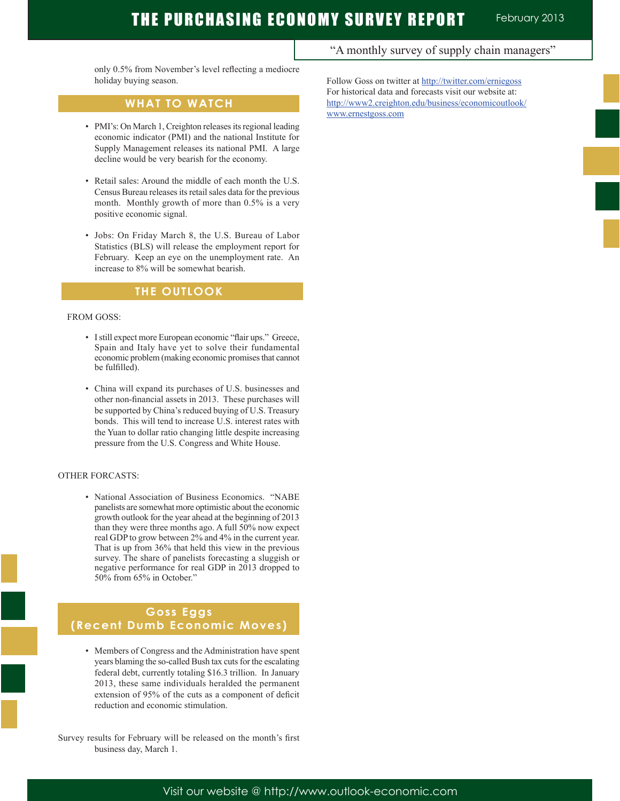only 0.5% from November's level reflecting a mediocre holiday buying season.

## **WHAT TO WATCH**

- PMI's: On March 1, Creighton releases its regional leading economic indicator (PMI) and the national Institute for Supply Management releases its national PMI. A large decline would be very bearish for the economy.
- Retail sales: Around the middle of each month the U.S. Census Bureau releases its retail sales data for the previous month. Monthly growth of more than 0.5% is a very positive economic signal.
- Jobs: On Friday March 8, the U.S. Bureau of Labor Statistics (BLS) will release the employment report for February. Keep an eye on the unemployment rate. An increase to 8% will be somewhat bearish.

## **THE OUTLOOK**

#### FROM GOSS:

Ī

- I still expect more European economic "flair ups." Greece, Spain and Italy have yet to solve their fundamental economic problem (making economic promises that cannot be fulfilled).
- China will expand its purchases of U.S. businesses and other non-financial assets in 2013. These purchases will be supported by China's reduced buying of U.S. Treasury bonds. This will tend to increase U.S. interest rates with the Yuan to dollar ratio changing little despite increasing pressure from the U.S. Congress and White House.

#### OTHER FORCASTS:

 • National Association of Business Economics. "NABE panelists are somewhat more optimistic about the economic growth outlook for the year ahead at the beginning of 2013 than they were three months ago. A full 50% now expect real GDP to grow between 2% and 4% in the current year. That is up from 36% that held this view in the previous survey. The share of panelists forecasting a sluggish or negative performance for real GDP in 2013 dropped to 50% from 65% in October."

## **Goss Eggs (Recent Dumb Economic Moves)**

 • Members of Congress and the Administration have spent years blaming the so-called Bush tax cuts for the escalating federal debt, currently totaling \$16.3 trillion. In January 2013, these same individuals heralded the permanent extension of 95% of the cuts as a component of deficit reduction and economic stimulation.

Survey results for February will be released on the month's first business day, March 1.

## "A monthly survey of supply chain managers"

Follow Goss on twitter at http://twitter.com/erniegoss For historical data and forecasts visit our website at: http://www2.creighton.edu/business/economicoutlook/ www.ernestgoss.com